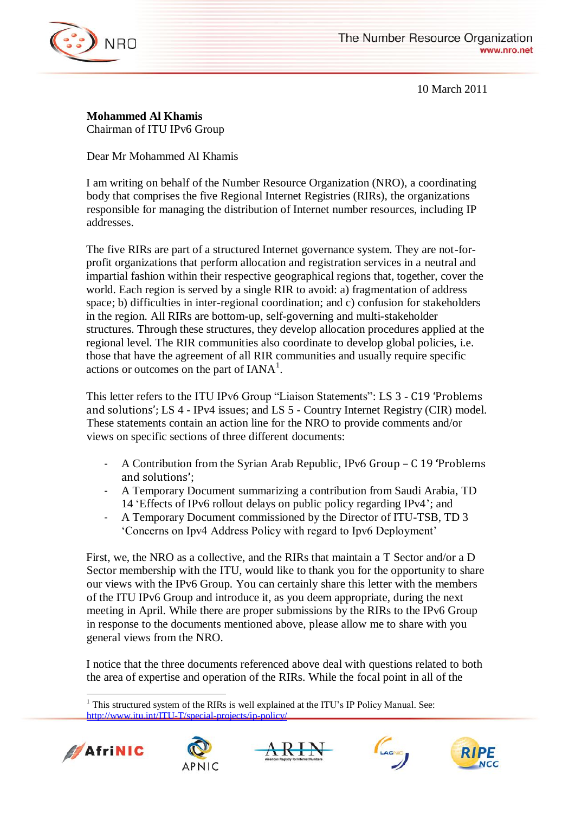

10 March 2011

**Mohammed Al Khamis** Chairman of ITU IPv6 Group

Dear Mr Mohammed Al Khamis

I am writing on behalf of the Number Resource Organization (NRO), a coordinating body that comprises the five Regional Internet Registries (RIRs), the organizations responsible for managing the distribution of Internet number resources, including IP addresses.

The five RIRs are part of a structured Internet governance system. They are not-forprofit organizations that perform allocation and registration services in a neutral and impartial fashion within their respective geographical regions that, together, cover the world. Each region is served by a single RIR to avoid: a) fragmentation of address space; b) difficulties in inter-regional coordination; and c) confusion for stakeholders in the region. All RIRs are bottom-up, self-governing and multi-stakeholder structures. Through these structures, they develop allocation procedures applied at the regional level. The RIR communities also coordinate to develop global policies, i.e. those that have the agreement of all RIR communities and usually require specific actions or outcomes on the part of  $IANA^1$ .

This letter refers to the ITU IPv6 Group "Liaison Statements": LS 3 - C19 'Problems and solutions'; LS 4 - IPv4 issues; and LS 5 - Country Internet Registry (CIR) model. These statements contain an action line for the NRO to provide comments and/or views on specific sections of three different documents:

- A Contribution from the Syrian Arab Republic, IPv6 Group C 19 **'**Problems and solutions**'**;
- A Temporary Document summarizing a contribution from Saudi Arabia, TD 14 "Effects of IPv6 rollout delays on public policy regarding IPv4"; and
- A Temporary Document commissioned by the Director of ITU-TSB, TD 3 "Concerns on Ipv4 Address Policy with regard to Ipv6 Deployment"

First, we, the NRO as a collective, and the RIRs that maintain a T Sector and/or a D Sector membership with the ITU, would like to thank you for the opportunity to share our views with the IPv6 Group. You can certainly share this letter with the members of the ITU IPv6 Group and introduce it, as you deem appropriate, during the next meeting in April. While there are proper submissions by the RIRs to the IPv6 Group in response to the documents mentioned above, please allow me to share with you general views from the NRO.

I notice that the three documents referenced above deal with questions related to both the area of expertise and operation of the RIRs. While the focal point in all of the

 $\overline{a}$ <sup>1</sup> This structured system of the RIRs is well explained at the ITU's IP Policy Manual. See: <http://www.itu.int/ITU-T/special-projects/ip-policy/>









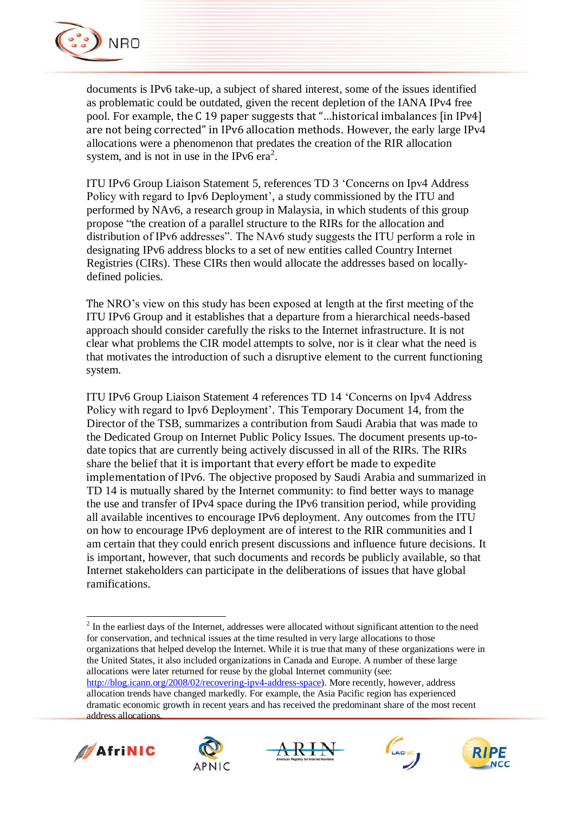

documents is IPv6 take-up, a subject of shared interest, some of the issues identified as problematic could be outdated, given the recent depletion of the IANA IPv4 free pool. For example, the C 19 paper suggests that "…historical imbalances [in IPv4] are not being corrected" in IPv6 allocation methods. However, the early large IPv4 allocations were a phenomenon that predates the creation of the RIR allocation system, and is not in use in the IPv6  $era^2$ .

ITU IPv6 Group Liaison Statement 5, references TD 3 "Concerns on Ipv4 Address Policy with regard to Ipv6 Deployment', a study commissioned by the ITU and performed by NAv6, a research group in Malaysia, in which students of this group propose "the creation of a parallel structure to the RIRs for the allocation and distribution of IPv6 addresses". The NAv6 study suggests the ITU perform a role in designating IPv6 address blocks to a set of new entities called Country Internet Registries (CIRs). These CIRs then would allocate the addresses based on locallydefined policies.

The NRO"s view on this study has been exposed at length at the first meeting of the ITU IPv6 Group and it establishes that a departure from a hierarchical needs-based approach should consider carefully the risks to the Internet infrastructure. It is not clear what problems the CIR model attempts to solve, nor is it clear what the need is that motivates the introduction of such a disruptive element to the current functioning system.

ITU IPv6 Group Liaison Statement 4 references TD 14 "Concerns on Ipv4 Address Policy with regard to Ipv6 Deployment'. This Temporary Document 14, from the Director of the TSB, summarizes a contribution from Saudi Arabia that was made to the Dedicated Group on Internet Public Policy Issues. The document presents up-todate topics that are currently being actively discussed in all of the RIRs. The RIRs share the belief that it is important that every effort be made to expedite implementation of IPv6. The objective proposed by Saudi Arabia and summarized in TD 14 is mutually shared by the Internet community: to find better ways to manage the use and transfer of IPv4 space during the IPv6 transition period, while providing all available incentives to encourage IPv6 deployment. Any outcomes from the ITU on how to encourage IPv6 deployment are of interest to the RIR communities and I am certain that they could enrich present discussions and influence future decisions. It is important, however, that such documents and records be publicly available, so that Internet stakeholders can participate in the deliberations of issues that have global ramifications.

 $\overline{a}$  $2<sup>2</sup>$  In the earliest days of the Internet, addresses were allocated without significant attention to the need for conservation, and technical issues at the time resulted in very large allocations to those organizations that helped develop the Internet. While it is true that many of these organizations were in the United States, it also included organizations in Canada and Europe. A number of these large allocations were later returned for reuse by the global Internet community (see: [http://blog.icann.org/2008/02/recovering-ipv4-address-space\)](http://blog.icann.org/2008/02/recovering-ipv4-address-space). More recently, however, address allocation trends have changed markedly. For example, the Asia Pacific region has experienced dramatic economic growth in recent years and has received the predominant share of the most recent address allocations.